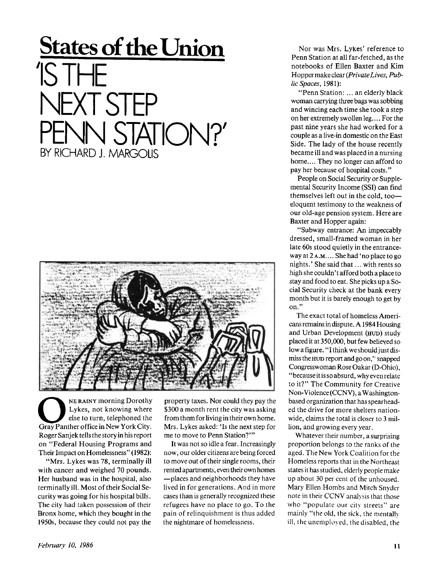## **States of the Union**  IS THE NEXTSTEP PENN STATION?' BY RICHARD J. MARGOLIS



**O Gray Panther office in New York City.**<br> **Cray Panther office in New York City. NE RAINY morning Dorothy Lykes, not knowing where else to turn, telephoned the Roger Sanj ek tells the story in his report on "Federal Housing Programs and Their Impact on Homelessness" (1982):** 

**"Mrs. Lykes was 78, terminally ill with cancer and weighed 70 pounds. Her husband was in the hospital, also terminally ill. Most of their Social Security was going for his hospital bills. The city had taken possession of their Bronx home, which they bought in the 1950s, because they could not pay the** 

**property taxes. Nor could they pay the \$300 a month rent the city was asking from them for living in their own home. Mrs. Lykes asked: 'Is the next step for me to move to Penn Station?'"** 

**It was not so idle a fear. Increasingly now, our older citizens are being forced to move out of their single rooms, their rented apartments, even their own homes —places and neighborhoods they have lived in for generations. And in more cases than is generally recognized these refugees have no place to go. To the pain of relinquishment is thus added the nightmare of homelessness.** 

**Nor was Mrs. Lykes' reference to Penn Station at all far-fetched, as the notebooks of Ellen Baxter and Kim Hopper make clear** *(PrivateLives, Public Spaces,* **1981):** 

**"Penn Station: ... an elderly black woman carrying three bags was sobbing and wincing each time she took a step on her extremely swollen leg.... For the past nine years she had worked for a couple as a live-in domestic on the East Side. The lady of the house recently became ill and was placed in a nursing home.... They no longer can afford to pay her because of hospital costs."** 

**People on Social Security or Supplemental Security Income (SSI) can find themselves left out in the cold, too eloquent testimony to the weakness of our old-age pension system. Here are Baxter and Hopper again:** 

**"Subway entrance: An impeccably dressed, small-framed woman in her late 60s stood quietly in the entranceway at 2 A.M. ... She had 'no place to go nights.' She said that... with rents so high she couldn't afford both a place to stay and food to eat. She picks up a Social Security check at the bank every month but it is barely enough to get by on."** 

**The exact total of homeless Americans remains in dispute. A1984 Housing and Urban Development (HUD) study placed it at 350,000, but few believed so lowafigure. "Ithink weshouldjustdismiss the HUD report and go on,'" snapped Congresswoman Rose Oakar (D-Ohio), "because it is so absurd, why even relate to it?" The Community for Creative Non-Violence (CCNV), a Washingtonbased organization that has spearheaded the drive for more shelters nationwide, claims the total is closer to 3 million, and growing every year.** 

**Whatever their number, a surprising proportion belongs to the ranks of the aged. The New York Coalition for the Homeless reports that in the Northeast states it has studied, elderly people make up about 30 per cent of the unhoused. Mary Ellen Hombs and Mitch Snyder note in their CCNV analysis that those who "populate our city streets" are mainly "the old, the sick, the mentally ill, the unemployed, the disabled, the**